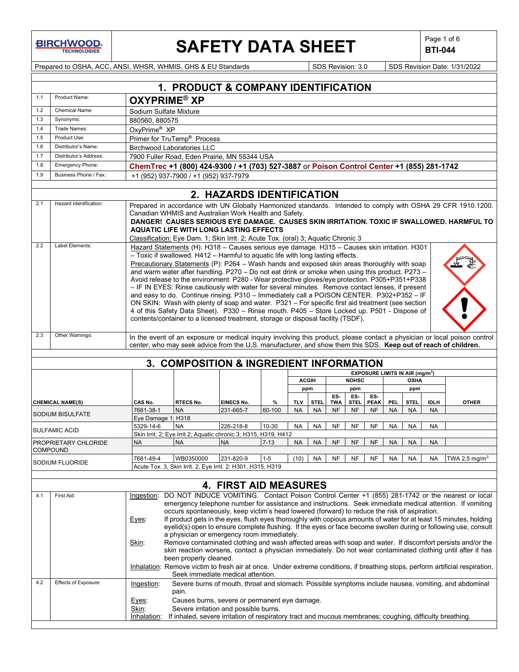**BIRCHWOOD** 

# **SAFETY DATA SHEET**  $\left|\begin{array}{cc} \text{Page 1 of 6} \\ \text{BIT-044} \end{array}\right|$

**BTI-044**

Prepared to OSHA, ACC, ANSI, WHSR, WHMIS, GHS & EU Standards Superinted Superinted SDS Revision: 3.0 SDS Revision Date: 1/31/2022

|                 | 1. PRODUCT & COMPANY IDENTIFICATION |                                                                                                                                                                                                                                                                                                                                                                                                                                                                                                                                                                                                                                                                                                                                                                                                                                                                                                                                                                                                                                                                |                                                                                                                                                                                                             |                              |          |              |           |                         |                          |                          |            |                                                            |             |                                                                                                                           |
|-----------------|-------------------------------------|----------------------------------------------------------------------------------------------------------------------------------------------------------------------------------------------------------------------------------------------------------------------------------------------------------------------------------------------------------------------------------------------------------------------------------------------------------------------------------------------------------------------------------------------------------------------------------------------------------------------------------------------------------------------------------------------------------------------------------------------------------------------------------------------------------------------------------------------------------------------------------------------------------------------------------------------------------------------------------------------------------------------------------------------------------------|-------------------------------------------------------------------------------------------------------------------------------------------------------------------------------------------------------------|------------------------------|----------|--------------|-----------|-------------------------|--------------------------|--------------------------|------------|------------------------------------------------------------|-------------|---------------------------------------------------------------------------------------------------------------------------|
| 1.1             | Product Name:                       | <b>OXYPRIME<sup>®</sup> XP</b>                                                                                                                                                                                                                                                                                                                                                                                                                                                                                                                                                                                                                                                                                                                                                                                                                                                                                                                                                                                                                                 |                                                                                                                                                                                                             |                              |          |              |           |                         |                          |                          |            |                                                            |             |                                                                                                                           |
| 1.2             | Chemical Name:                      | Sodium Sulfate Mixture                                                                                                                                                                                                                                                                                                                                                                                                                                                                                                                                                                                                                                                                                                                                                                                                                                                                                                                                                                                                                                         |                                                                                                                                                                                                             |                              |          |              |           |                         |                          |                          |            |                                                            |             |                                                                                                                           |
| 1.3             | Synonyms:                           | 880560, 880575                                                                                                                                                                                                                                                                                                                                                                                                                                                                                                                                                                                                                                                                                                                                                                                                                                                                                                                                                                                                                                                 |                                                                                                                                                                                                             |                              |          |              |           |                         |                          |                          |            |                                                            |             |                                                                                                                           |
| 1.4             | Trade Names:                        | OxyPrime <sup>®</sup> XP                                                                                                                                                                                                                                                                                                                                                                                                                                                                                                                                                                                                                                                                                                                                                                                                                                                                                                                                                                                                                                       |                                                                                                                                                                                                             |                              |          |              |           |                         |                          |                          |            |                                                            |             |                                                                                                                           |
| 1.5             | Product Use:                        | Primer for TruTemp <sup>®</sup> Process                                                                                                                                                                                                                                                                                                                                                                                                                                                                                                                                                                                                                                                                                                                                                                                                                                                                                                                                                                                                                        |                                                                                                                                                                                                             |                              |          |              |           |                         |                          |                          |            |                                                            |             |                                                                                                                           |
| 1.6             | Distributor's Name:                 | <b>Birchwood Laboratories LLC</b>                                                                                                                                                                                                                                                                                                                                                                                                                                                                                                                                                                                                                                                                                                                                                                                                                                                                                                                                                                                                                              |                                                                                                                                                                                                             |                              |          |              |           |                         |                          |                          |            |                                                            |             |                                                                                                                           |
| 1.7             | Distributor's Address:              | 7900 Fuller Road, Eden Prairie, MN 55344 USA<br>ChemTrec +1 (800) 424-9300 / +1 (703) 527-3887 or Poison Control Center +1 (855) 281-1742                                                                                                                                                                                                                                                                                                                                                                                                                                                                                                                                                                                                                                                                                                                                                                                                                                                                                                                      |                                                                                                                                                                                                             |                              |          |              |           |                         |                          |                          |            |                                                            |             |                                                                                                                           |
| 1.8             | Emergency Phone:                    |                                                                                                                                                                                                                                                                                                                                                                                                                                                                                                                                                                                                                                                                                                                                                                                                                                                                                                                                                                                                                                                                |                                                                                                                                                                                                             |                              |          |              |           |                         |                          |                          |            |                                                            |             |                                                                                                                           |
| 1.9             | Business Phone / Fax:               |                                                                                                                                                                                                                                                                                                                                                                                                                                                                                                                                                                                                                                                                                                                                                                                                                                                                                                                                                                                                                                                                | +1 (952) 937-7900 / +1 (952) 937-7979                                                                                                                                                                       |                              |          |              |           |                         |                          |                          |            |                                                            |             |                                                                                                                           |
|                 |                                     |                                                                                                                                                                                                                                                                                                                                                                                                                                                                                                                                                                                                                                                                                                                                                                                                                                                                                                                                                                                                                                                                |                                                                                                                                                                                                             | 2. HAZARDS IDENTIFICATION    |          |              |           |                         |                          |                          |            |                                                            |             |                                                                                                                           |
| 2.1             | Hazard Identification:              | Prepared in accordance with UN Globally Harmonized standards. Intended to comply with OSHA 29 CFR 1910.1200.<br>Canadian WHMIS and Australian Work Health and Safety.<br>DANGER! CAUSES SERIOUS EYE DAMAGE. CAUSES SKIN IRRITATION. TOXIC IF SWALLOWED. HARMFUL TO<br><b>AQUATIC LIFE WITH LONG LASTING EFFECTS</b><br>Classification: Eye Dam. 1; Skin Irrit. 2; Acute Tox. (oral) 3; Aquatic Chronic 3                                                                                                                                                                                                                                                                                                                                                                                                                                                                                                                                                                                                                                                       |                                                                                                                                                                                                             |                              |          |              |           |                         |                          |                          |            |                                                            |             |                                                                                                                           |
| 2.2             | Label Elements:                     | Hazard Statements (H): H318 - Causes serious eye damage. H315 - Causes skin irritation. H301<br>- Toxic if swallowed. H412 - Harmful to aquatic life with long lasting effects.<br>Precautionary Statements (P): P264 - Wash hands and exposed skin areas thoroughly with soap<br>and warm water after handling. P270 - Do not eat drink or smoke when using this product. P273 -<br>Avoid release to the environment. P280 - Wear protective gloves/eye protection. P305+P351+P338<br>- IF IN EYES: Rinse cautiously with water for several minutes. Remove contact lenses, if present<br>and easy to do. Continue rinsing. P310 - Immediately call a POISON CENTER. P302+P352 - IF<br>ON SKIN: Wash with plenty of soap and water. P321 - For specific first aid treatment (see section<br>4 of this Safety Data Sheet). P330 - Rinse mouth. P405 - Store Locked up. P501 - Dispose of<br>contents/container to a licensed treatment, storage or disposal facility (TSDF).                                                                                   |                                                                                                                                                                                                             |                              |          |              |           |                         |                          |                          |            |                                                            |             |                                                                                                                           |
| 2.3             | Other Warnings:                     |                                                                                                                                                                                                                                                                                                                                                                                                                                                                                                                                                                                                                                                                                                                                                                                                                                                                                                                                                                                                                                                                | center, who may seek advice from the U.S. manufacturer, and show them this SDS. Keep out of reach of children.                                                                                              |                              |          |              |           |                         |                          |                          |            |                                                            |             | In the event of an exposure or medical inquiry involving this product, please contact a physician or local poison control |
|                 |                                     |                                                                                                                                                                                                                                                                                                                                                                                                                                                                                                                                                                                                                                                                                                                                                                                                                                                                                                                                                                                                                                                                |                                                                                                                                                                                                             |                              |          |              |           |                         |                          |                          |            |                                                            |             |                                                                                                                           |
|                 |                                     |                                                                                                                                                                                                                                                                                                                                                                                                                                                                                                                                                                                                                                                                                                                                                                                                                                                                                                                                                                                                                                                                | 3. COMPOSITION & INGREDIENT INFORMATION                                                                                                                                                                     |                              |          |              |           |                         |                          |                          |            |                                                            |             |                                                                                                                           |
|                 |                                     |                                                                                                                                                                                                                                                                                                                                                                                                                                                                                                                                                                                                                                                                                                                                                                                                                                                                                                                                                                                                                                                                |                                                                                                                                                                                                             |                              |          | <b>ACGIH</b> |           |                         | <b>NOHSC</b>             |                          |            | EXPOSURE LIMITS IN AIR (mg/m <sup>3</sup> )<br><b>OSHA</b> |             |                                                                                                                           |
|                 |                                     |                                                                                                                                                                                                                                                                                                                                                                                                                                                                                                                                                                                                                                                                                                                                                                                                                                                                                                                                                                                                                                                                |                                                                                                                                                                                                             |                              |          | ppm          |           |                         | ppm                      |                          |            | ppm                                                        |             |                                                                                                                           |
|                 |                                     | CAS No.                                                                                                                                                                                                                                                                                                                                                                                                                                                                                                                                                                                                                                                                                                                                                                                                                                                                                                                                                                                                                                                        | RTECS No.                                                                                                                                                                                                   | EINECS No.                   | %        | <b>TLV</b>   | STEL.     | ES-                     | ES-                      | ES-                      | <b>PEL</b> | STEL.                                                      | <b>IDLH</b> | <b>OTHER</b>                                                                                                              |
|                 | <b>CHEMICAL NAME(S)</b>             | 7681-38-1                                                                                                                                                                                                                                                                                                                                                                                                                                                                                                                                                                                                                                                                                                                                                                                                                                                                                                                                                                                                                                                      | <b>NA</b>                                                                                                                                                                                                   | 231-665-7                    | 60-100   | <b>NA</b>    | <b>NA</b> | <b>TWA</b><br><b>NF</b> | <b>STEL</b><br><b>NF</b> | <b>PEAK</b><br><b>NF</b> | <b>NA</b>  | <b>NA</b>                                                  | <b>NA</b>   |                                                                                                                           |
|                 | <b>SODIUM BISULFATE</b>             | Eye Damage 1; H318                                                                                                                                                                                                                                                                                                                                                                                                                                                                                                                                                                                                                                                                                                                                                                                                                                                                                                                                                                                                                                             |                                                                                                                                                                                                             |                              |          |              |           |                         |                          |                          |            |                                                            |             |                                                                                                                           |
|                 | <b>SULFAMIC ACID</b>                | 5329-14-6                                                                                                                                                                                                                                                                                                                                                                                                                                                                                                                                                                                                                                                                                                                                                                                                                                                                                                                                                                                                                                                      | <b>NA</b>                                                                                                                                                                                                   | 226-218-8                    | 10-30    | <b>NA</b>    | <b>NA</b> | <b>NF</b>               | <b>NF</b>                | <b>NF</b>                | <b>NA</b>  | <b>NA</b>                                                  | <b>NA</b>   |                                                                                                                           |
|                 |                                     |                                                                                                                                                                                                                                                                                                                                                                                                                                                                                                                                                                                                                                                                                                                                                                                                                                                                                                                                                                                                                                                                | Skin Irrit. 2; Eye Irrit 2; Aquatic chronic 3; H315, H319, H412                                                                                                                                             |                              |          |              |           |                         |                          |                          |            |                                                            |             |                                                                                                                           |
| <b>COMPOUND</b> | PROPRIETARY CHLORIDE                | <b>NA</b>                                                                                                                                                                                                                                                                                                                                                                                                                                                                                                                                                                                                                                                                                                                                                                                                                                                                                                                                                                                                                                                      | <b>NA</b>                                                                                                                                                                                                   | <b>NA</b>                    | $7 - 13$ | <b>NA</b>    | <b>NA</b> | <b>NF</b>               | <b>NF</b>                | <b>NF</b>                | <b>NA</b>  | <b>NA</b>                                                  | <b>NA</b>   |                                                                                                                           |
|                 |                                     | 7681-49-4                                                                                                                                                                                                                                                                                                                                                                                                                                                                                                                                                                                                                                                                                                                                                                                                                                                                                                                                                                                                                                                      | WB0350000                                                                                                                                                                                                   | 231-820-9                    | $1 - 5$  | (10)         | NA        | <b>NF</b>               | <b>NF</b>                | <b>NF</b>                | NA         | <b>NA</b>                                                  | NA          | TWA 2.5 mg/m <sup>3</sup>                                                                                                 |
|                 | SODIUM FLUORIDE                     |                                                                                                                                                                                                                                                                                                                                                                                                                                                                                                                                                                                                                                                                                                                                                                                                                                                                                                                                                                                                                                                                | Acute Tox. 3, Skin Irrit. 2, Eye Irrit. 2: H301, H315, H319                                                                                                                                                 |                              |          |              |           |                         |                          |                          |            |                                                            |             |                                                                                                                           |
|                 |                                     |                                                                                                                                                                                                                                                                                                                                                                                                                                                                                                                                                                                                                                                                                                                                                                                                                                                                                                                                                                                                                                                                |                                                                                                                                                                                                             |                              |          |              |           |                         |                          |                          |            |                                                            |             |                                                                                                                           |
|                 |                                     |                                                                                                                                                                                                                                                                                                                                                                                                                                                                                                                                                                                                                                                                                                                                                                                                                                                                                                                                                                                                                                                                |                                                                                                                                                                                                             | <b>4. FIRST AID MEASURES</b> |          |              |           |                         |                          |                          |            |                                                            |             |                                                                                                                           |
| 4.1             | First Aid:                          | Ingestion: DO NOT INDUCE VOMITING. Contact Poison Control Center +1 (855) 281-1742 or the nearest or local<br>emergency telephone number for assistance and instructions. Seek immediate medical attention. If vomiting<br>occurs spontaneously, keep victim's head lowered (forward) to reduce the risk of aspiration.<br>If product gets in the eyes, flush eyes thoroughly with copious amounts of water for at least 15 minutes, holding<br>Eyes:<br>eyelid(s) open to ensure complete flushing. If the eyes or face become swollen during or following use, consult<br>a physician or emergency room immediately.<br>Remove contaminated clothing and wash affected areas with soap and water. If discomfort persists and/or the<br>Skin:<br>skin reaction worsens, contact a physician immediately. Do not wear contaminated clothing until after it has<br>been properly cleaned.<br>Inhalation: Remove victim to fresh air at once. Under extreme conditions, if breathing stops, perform artificial respiration.<br>Seek immediate medical attention. |                                                                                                                                                                                                             |                              |          |              |           |                         |                          |                          |            |                                                            |             |                                                                                                                           |
| 4.2             | Effects of Exposure:                | Ingestion:                                                                                                                                                                                                                                                                                                                                                                                                                                                                                                                                                                                                                                                                                                                                                                                                                                                                                                                                                                                                                                                     |                                                                                                                                                                                                             |                              |          |              |           |                         |                          |                          |            |                                                            |             | Severe burns of mouth, throat and stomach. Possible symptoms include nausea, vomiting, and abdominal                      |
|                 |                                     | Eyes:<br>Skin:<br>Inhalation:                                                                                                                                                                                                                                                                                                                                                                                                                                                                                                                                                                                                                                                                                                                                                                                                                                                                                                                                                                                                                                  | pain.<br>Causes burns, severe or permanent eye damage.<br>Severe irritation and possible burns.<br>If inhaled, severe irritation of respiratory tract and mucous membranes; coughing, difficulty breathing. |                              |          |              |           |                         |                          |                          |            |                                                            |             |                                                                                                                           |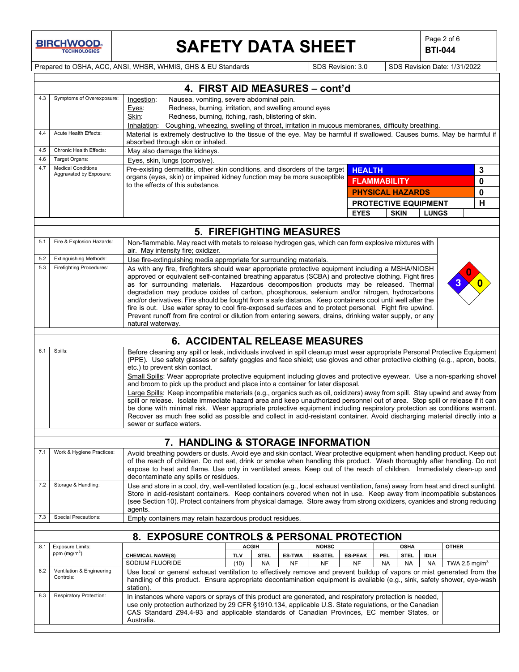

# SAFETY DATA SHEET **Page 2 of 6** Page 2 of 6

**BTI-044**

Prepared to OSHA, ACC, ANSI, WHSR, WHMIS, GHS & EU Standards Subsetsion: 3.0 SDS Revision: 3.0 SDS Revision Date: 1/31/2022

|      |                                                      | 4. FIRST AID MEASURES - cont'd                                                                                                                                                                                                                      |  |  |  |
|------|------------------------------------------------------|-----------------------------------------------------------------------------------------------------------------------------------------------------------------------------------------------------------------------------------------------------|--|--|--|
| 4.3  | Symptoms of Overexposure:                            | Nausea, vomiting, severe abdominal pain.<br>Ingestion:                                                                                                                                                                                              |  |  |  |
|      |                                                      | Redness, burning, irritation, and swelling around eyes<br>Eyes:                                                                                                                                                                                     |  |  |  |
|      |                                                      | Redness, burning, itching, rash, blistering of skin.<br>Skin:                                                                                                                                                                                       |  |  |  |
|      |                                                      | Inhalation: Coughing, wheezing, swelling of throat, irritation in mucous membranes, difficulty breathing.                                                                                                                                           |  |  |  |
| 4.4  | Acute Health Effects:                                | Material is extremely destructive to the tissue of the eye. May be harmful if swallowed. Causes burns. May be harmful if                                                                                                                            |  |  |  |
|      |                                                      | absorbed through skin or inhaled.                                                                                                                                                                                                                   |  |  |  |
| 4.5  | Chronic Health Effects:                              | May also damage the kidneys.                                                                                                                                                                                                                        |  |  |  |
| 4.6  | Target Organs:                                       | Eyes, skin, lungs (corrosive).                                                                                                                                                                                                                      |  |  |  |
| 4.7  | <b>Medical Conditions</b><br>Aggravated by Exposure: | Pre-existing dermatitis, other skin conditions, and disorders of the target<br>3<br><b>HEALTH</b><br>organs (eyes, skin) or impaired kidney function may be more susceptible                                                                        |  |  |  |
|      |                                                      | 0<br><b>FLAMMABILITY</b><br>to the effects of this substance.                                                                                                                                                                                       |  |  |  |
|      |                                                      | <b>PHYSICAL HAZARDS</b><br>0                                                                                                                                                                                                                        |  |  |  |
|      |                                                      | Η<br>PROTECTIVE EQUIPMENT                                                                                                                                                                                                                           |  |  |  |
|      |                                                      | <b>EYES</b><br><b>SKIN</b><br><b>LUNGS</b>                                                                                                                                                                                                          |  |  |  |
|      |                                                      |                                                                                                                                                                                                                                                     |  |  |  |
|      |                                                      | <b>5. FIREFIGHTING MEASURES</b>                                                                                                                                                                                                                     |  |  |  |
| 5.1  | Fire & Explosion Hazards:                            | Non-flammable. May react with metals to release hydrogen gas, which can form explosive mixtures with<br>air. May intensity fire; oxidizer.                                                                                                          |  |  |  |
| 5.2  | <b>Extinguishing Methods:</b>                        | Use fire-extinguishing media appropriate for surrounding materials.                                                                                                                                                                                 |  |  |  |
| 5.3  | <b>Firefighting Procedures:</b>                      | As with any fire, firefighters should wear appropriate protective equipment including a MSHA/NIOSH                                                                                                                                                  |  |  |  |
|      |                                                      | approved or equivalent self-contained breathing apparatus (SCBA) and protective clothing. Fight fires                                                                                                                                               |  |  |  |
|      |                                                      | as for surrounding materials. Hazardous decomposition products may be released. Thermal                                                                                                                                                             |  |  |  |
|      |                                                      | degradation may produce oxides of carbon, phosphorous, selenium and/or nitrogen, hydrocarbons<br>and/or derivatives. Fire should be fought from a safe distance. Keep containers cool until well after the                                          |  |  |  |
|      |                                                      | fire is out. Use water spray to cool fire-exposed surfaces and to protect personal. Fight fire upwind.                                                                                                                                              |  |  |  |
|      |                                                      | Prevent runoff from fire control or dilution from entering sewers, drains, drinking water supply, or any                                                                                                                                            |  |  |  |
|      |                                                      | natural waterway.                                                                                                                                                                                                                                   |  |  |  |
|      |                                                      | <b>6. ACCIDENTAL RELEASE MEASURES</b>                                                                                                                                                                                                               |  |  |  |
| 6.1  | Spills:                                              | Before cleaning any spill or leak, individuals involved in spill cleanup must wear appropriate Personal Protective Equipment                                                                                                                        |  |  |  |
|      |                                                      | (PPE). Use safety glasses or safety goggles and face shield; use gloves and other protective clothing (e.g., apron, boots,                                                                                                                          |  |  |  |
|      |                                                      | etc.) to prevent skin contact.                                                                                                                                                                                                                      |  |  |  |
|      |                                                      | Small Spills: Wear appropriate protective equipment including gloves and protective eyewear. Use a non-sparking shovel                                                                                                                              |  |  |  |
|      |                                                      | and broom to pick up the product and place into a container for later disposal.<br>Large Spills: Keep incompatible materials (e.g., organics such as oil, oxidizers) away from spill. Stay upwind and away from                                     |  |  |  |
|      |                                                      | spill or release. Isolate immediate hazard area and keep unauthorized personnel out of area. Stop spill or release if it can                                                                                                                        |  |  |  |
|      |                                                      | be done with minimal risk. Wear appropriate protective equipment including respiratory protection as conditions warrant.                                                                                                                            |  |  |  |
|      |                                                      | Recover as much free solid as possible and collect in acid-resistant container. Avoid discharging material directly into a                                                                                                                          |  |  |  |
|      |                                                      | sewer or surface waters.                                                                                                                                                                                                                            |  |  |  |
|      |                                                      | 7. HANDLING & STORAGE INFORMATION                                                                                                                                                                                                                   |  |  |  |
| 7.1  | Work & Hygiene Practices:                            | Avoid breathing powders or dusts. Avoid eye and skin contact. Wear protective equipment when handling product. Keep out                                                                                                                             |  |  |  |
|      |                                                      | of the reach of children. Do not eat, drink or smoke when handling this product. Wash thoroughly after handling. Do not                                                                                                                             |  |  |  |
|      |                                                      | expose to heat and flame. Use only in ventilated areas. Keep out of the reach of children. Immediately clean-up and                                                                                                                                 |  |  |  |
|      |                                                      | decontaminate any spills or residues.                                                                                                                                                                                                               |  |  |  |
| 7.2  | Storage & Handling:                                  | Use and store in a cool, dry, well-ventilated location (e.g., local exhaust ventilation, fans) away from heat and direct sunlight.                                                                                                                  |  |  |  |
|      |                                                      | Store in acid-resistant containers. Keep containers covered when not in use. Keep away from incompatible substances                                                                                                                                 |  |  |  |
|      |                                                      | (see Section 10). Protect containers from physical damage. Store away from strong oxidizers, cyanides and strong reducing<br>agents.                                                                                                                |  |  |  |
| 7.3  | <b>Special Precautions:</b>                          | Empty containers may retain hazardous product residues.                                                                                                                                                                                             |  |  |  |
|      |                                                      |                                                                                                                                                                                                                                                     |  |  |  |
|      |                                                      | <b>8. EXPOSURE CONTROLS &amp; PERSONAL PROTECTION</b>                                                                                                                                                                                               |  |  |  |
| .8.1 | <b>Exposure Limits:</b>                              | <b>NOHSC</b><br><b>OTHER</b><br><b>ACGIH</b><br><b>OSHA</b>                                                                                                                                                                                         |  |  |  |
|      | ppm $(mg/m3)$                                        | <b>ES-PEAK</b><br><b>CHEMICAL NAME(S)</b><br><b>TLV</b><br><b>STEL</b><br><b>ES-TWA</b><br><b>ES-STEL</b><br><b>PEL</b><br><b>STEL</b><br><b>IDLH</b>                                                                                               |  |  |  |
| 8.2  |                                                      | SODIUM FLUORIDE<br>(10)<br><b>NF</b><br>NF<br><b>NF</b><br>TWA 2.5 mg/m <sup>3</sup><br><b>NA</b><br><b>NA</b><br><b>NA</b><br>NA                                                                                                                   |  |  |  |
|      | Ventilation & Engineering<br>Controls:               | Use local or general exhaust ventilation to effectively remove and prevent buildup of vapors or mist generated from the<br>handling of this product. Ensure appropriate decontamination equipment is available (e.g., sink, safety shower, eye-wash |  |  |  |
|      |                                                      | station).                                                                                                                                                                                                                                           |  |  |  |
| 8.3  | Respiratory Protection:                              | In instances where vapors or sprays of this product are generated, and respiratory protection is needed,                                                                                                                                            |  |  |  |
|      |                                                      | use only protection authorized by 29 CFR §1910.134, applicable U.S. State regulations, or the Canadian                                                                                                                                              |  |  |  |
|      |                                                      | CAS Standard Z94.4-93 and applicable standards of Canadian Provinces, EC member States, or                                                                                                                                                          |  |  |  |
|      | Australia.                                           |                                                                                                                                                                                                                                                     |  |  |  |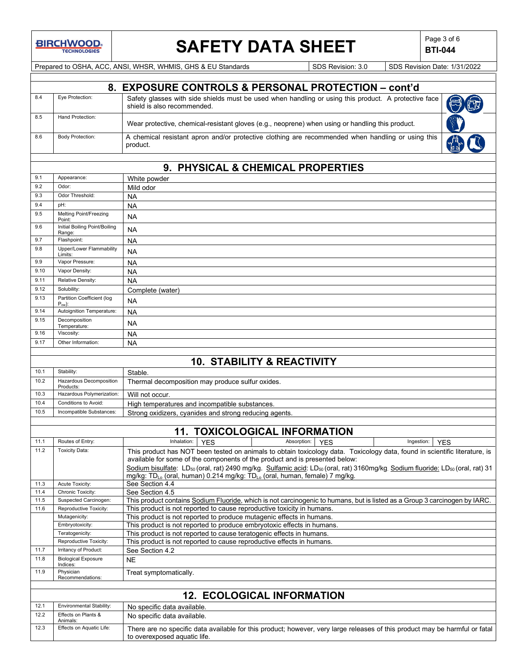**BIRCHWOOD** 

# **SAFETY DATA SHEET**  $\left|\begin{array}{c} \mathsf{Page 3 of 6} \\ \mathsf{BTL044} \end{array}\right|$

**BTI-044**

Prepared to OSHA, ACC, ANSI, WHSR, WHMIS, GHS & EU Standards Superinted SDS Revision: 3.0 SDS Revision Date: 1/31/2022

|     | 8. EXPOSURE CONTROLS & PERSONAL PROTECTION - cont'd |                                                                                                                                     |  |  |
|-----|-----------------------------------------------------|-------------------------------------------------------------------------------------------------------------------------------------|--|--|
| 8.4 | Eye Protection:                                     | Safety glasses with side shields must be used when handling or using this product. A protective face<br>shield is also recommended. |  |  |
| 8.5 | Hand Protection:                                    | Wear protective, chemical-resistant gloves (e.g., neoprene) when using or handling this product.                                    |  |  |
| 8.6 | <b>Body Protection:</b>                             | A chemical resistant apron and/or protective clothing are recommended when handling or using this<br>product.                       |  |  |

### **9. PHYSICAL & CHEMICAL PROPERTIES**

| 9.1  | Appearance:                              | White powder                                                                                                                                                      |  |  |  |
|------|------------------------------------------|-------------------------------------------------------------------------------------------------------------------------------------------------------------------|--|--|--|
| 9.2  | Odor:                                    | Mild odor                                                                                                                                                         |  |  |  |
| 9.3  | Odor Threshold:                          | <b>NA</b>                                                                                                                                                         |  |  |  |
| 9.4  | pH:                                      | <b>NA</b>                                                                                                                                                         |  |  |  |
| 9.5  | Melting Point/Freezing<br>Point:         | NA                                                                                                                                                                |  |  |  |
| 9.6  | Initial Boiling Point/Boiling<br>Range:  | <b>NA</b>                                                                                                                                                         |  |  |  |
| 9.7  | Flashpoint:                              | <b>NA</b>                                                                                                                                                         |  |  |  |
| 9.8  | Upper/Lower Flammability<br>Limits:      | <b>NA</b>                                                                                                                                                         |  |  |  |
| 9.9  | Vapor Pressure:                          | NA                                                                                                                                                                |  |  |  |
| 9.10 | Vapor Density:                           | <b>NA</b>                                                                                                                                                         |  |  |  |
| 9.11 | Relative Density:                        | <b>NA</b>                                                                                                                                                         |  |  |  |
| 9.12 | Solubility:                              | Complete (water)                                                                                                                                                  |  |  |  |
| 9.13 | Partition Coefficient (log<br>$P_{ow}$ : | <b>NA</b>                                                                                                                                                         |  |  |  |
| 9.14 | Autoignition Temperature:                | <b>NA</b>                                                                                                                                                         |  |  |  |
| 9.15 | Decomposition<br>Temperature:            | <b>NA</b>                                                                                                                                                         |  |  |  |
| 9.16 | Viscosity:                               | <b>NA</b>                                                                                                                                                         |  |  |  |
| 9.17 | Other Information:                       | NA                                                                                                                                                                |  |  |  |
|      |                                          |                                                                                                                                                                   |  |  |  |
|      |                                          | <b>10. STABILITY &amp; REACTIVITY</b>                                                                                                                             |  |  |  |
| 10.1 | Stability:                               | Stable.                                                                                                                                                           |  |  |  |
| 10.2 | Hazardous Decomposition<br>Products:     | Thermal decomposition may produce sulfur oxides.                                                                                                                  |  |  |  |
| 10.3 | Hazardous Polymerization:                | Will not occur.                                                                                                                                                   |  |  |  |
| 10.4 | Conditions to Avoid:                     | High temperatures and incompatible substances.                                                                                                                    |  |  |  |
| 10.5 | Incompatible Substances:                 | Strong oxidizers, cyanides and strong reducing agents.                                                                                                            |  |  |  |
|      |                                          |                                                                                                                                                                   |  |  |  |
|      |                                          | <b>11. TOXICOLOGICAL INFORMATION</b>                                                                                                                              |  |  |  |
| 11.1 | Routes of Entry:                         | Inhalation:<br><b>YES</b><br>Absorption:<br>Ingestion:<br><b>YES</b><br><b>YES</b>                                                                                |  |  |  |
| 11.2 | <b>Toxicity Data:</b>                    | This product has NOT been tested on animals to obtain toxicology data. Toxicology data, found in scientific literature, is                                        |  |  |  |
|      |                                          | available for some of the components of the product and is presented below:                                                                                       |  |  |  |
|      |                                          | Sodium bisulfate: LD <sub>50</sub> (oral, rat) 2490 mg/kg. Sulfamic acid: LD <sub>50</sub> (oral, rat) 3160mg/kg Sodium fluoride: LD <sub>50</sub> (oral, rat) 31 |  |  |  |
| 11.3 | Acute Toxicity:                          | mg/kg: TD <sub>Lo</sub> (oral, human) 0.214 mg/kg: TD <sub>Lo</sub> (oral, human, female) 7 mg/kg.<br>See Section 4.4                                             |  |  |  |
| 11.4 | Chronic Toxicity:                        | See Section 4.5                                                                                                                                                   |  |  |  |
| 11.5 | Suspected Carcinogen:                    | This product contains Sodium Fluoride, which is not carcinogenic to humans, but is listed as a Group 3 carcinogen by IARC.                                        |  |  |  |
| 11.6 | Reproductive Toxicity:                   | This product is not reported to cause reproductive toxicity in humans.                                                                                            |  |  |  |
|      | Mutagenicity:                            | This product is not reported to produce mutagenic effects in humans.                                                                                              |  |  |  |
|      | Embryotoxicity:                          | This product is not reported to produce embryotoxic effects in humans.                                                                                            |  |  |  |
|      | Teratogenicity:                          | This product is not reported to cause teratogenic effects in humans.                                                                                              |  |  |  |
|      | Reproductive Toxicity:                   | This product is not reported to cause reproductive effects in humans.                                                                                             |  |  |  |
| 11.7 | Irritancy of Product:                    | See Section 4.2                                                                                                                                                   |  |  |  |
| 11.8 | <b>Biological Exposure</b><br>Indices:   | NE.                                                                                                                                                               |  |  |  |
| 11.9 | Physician<br>Recommendations:            | Treat symptomatically.                                                                                                                                            |  |  |  |
|      |                                          | <b>12. ECOLOGICAL INFORMATION</b>                                                                                                                                 |  |  |  |
| 12.1 | Environmental Stability:                 |                                                                                                                                                                   |  |  |  |
| 12.2 | Effects on Plants &                      | No specific data available.                                                                                                                                       |  |  |  |
|      | Animals:                                 | No specific data available.                                                                                                                                       |  |  |  |
| 12.3 | Effects on Aquatic Life:                 | There are no specific data available for this product; however, very large releases of this product may be harmful or fatal<br>to overexposed aquatic life.       |  |  |  |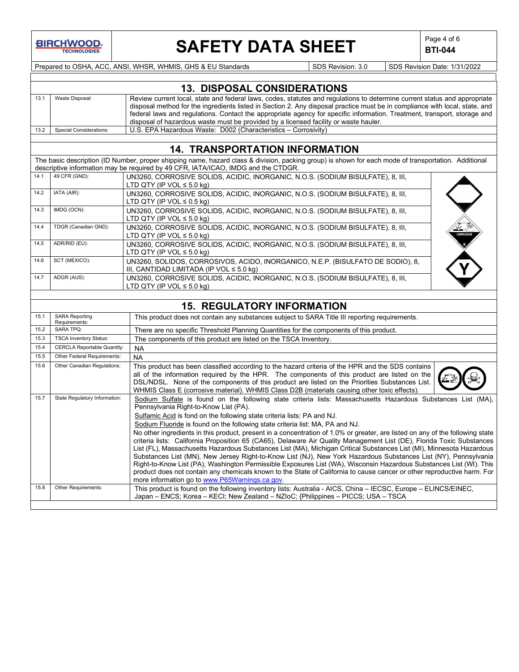

# **SAFETY DATA SHEET**  $\left|\begin{array}{c} \text{Page 4 of 6} \\ \text{BTI-044} \end{array}\right|$

**BTI-044**

Prepared to OSHA, ACC, ANSI, WHSR, WHMIS, GHS & EU Standards Superinted Superinted SDS Revision: 3.0 SDS Revision Date: 1/31/2022

|      | <b>13. DISPOSAL CONSIDERATIONS</b> |                                                                                                                                                                                                                                                          |  |  |
|------|------------------------------------|----------------------------------------------------------------------------------------------------------------------------------------------------------------------------------------------------------------------------------------------------------|--|--|
| 13.1 | Waste Disposal:                    | Review current local, state and federal laws, codes, statutes and regulations to determine current status and appropriate<br>disposal method for the ingredients listed in Section 2. Any disposal practice must be in compliance with local, state, and |  |  |
|      |                                    | federal laws and regulations. Contact the appropriate agency for specific information. Treatment, transport, storage and                                                                                                                                 |  |  |
|      |                                    | disposal of hazardous waste must be provided by a licensed facility or waste hauler.                                                                                                                                                                     |  |  |
| 13.2 | Special Considerations:            | U.S. EPA Hazardous Waste: D002 (Characteristics – Corrosivity)                                                                                                                                                                                           |  |  |

### **14. TRANSPORTATION INFORMATION**

|      |                                        | 14. IKANSPUKTATIUN INFUKWATIUN                                                                                                                        |
|------|----------------------------------------|-------------------------------------------------------------------------------------------------------------------------------------------------------|
|      |                                        | The basic description (ID Number, proper shipping name, hazard class & division, packing group) is shown for each mode of transportation. Additional  |
|      |                                        | descriptive information may be required by 49 CFR, IATA/ICAO, IMDG and the CTDGR.                                                                     |
| 14.1 | 49 CFR (GND):                          | UN3260, CORROSIVE SOLIDS, ACIDIC, INORGANIC, N.O.S. (SODIUM BISULFATE), 8, III,                                                                       |
|      |                                        | LTD QTY (IP VOL $\leq 5.0$ kg)                                                                                                                        |
| 14.2 | IATA (AIR):                            | UN3260, CORROSIVE SOLIDS, ACIDIC, INORGANIC, N.O.S. (SODIUM BISULFATE), 8, III,                                                                       |
|      |                                        | LTD QTY (IP VOL $\leq 0.5$ kg)                                                                                                                        |
| 14.3 | IMDG (OCN):                            | UN3260, CORROSIVE SOLIDS, ACIDIC, INORGANIC, N.O.S. (SODIUM BISULFATE), 8, III,                                                                       |
|      |                                        | LTD QTY (IP VOL $\leq$ 5.0 kg)                                                                                                                        |
| 14.4 | TDGR (Canadian GND):                   | UN3260, CORROSIVE SOLIDS, ACIDIC, INORGANIC, N.O.S. (SODIUM BISULFATE), 8, III,                                                                       |
|      |                                        | LTD QTY (IP VOL $\leq$ 5.0 kg)                                                                                                                        |
| 14.5 | ADR/RID (EU):                          | UN3260, CORROSIVE SOLIDS, ACIDIC, INORGANIC, N.O.S. (SODIUM BISULFATE), 8, III,                                                                       |
|      |                                        | LTD QTY (IP VOL $\leq$ 5.0 kg)                                                                                                                        |
| 14.6 | SCT (MEXICO):                          | UN3260, SOLIDOS, CORROSIVOS, ACIDO, INORGANICO, N.E.P. (BISULFATO DE SODIO), 8,<br>III, CANTIDAD LIMITADA (IP VOL $\leq 5.0$ kg)                      |
| 14.7 | ADGR (AUS):                            | UN3260, CORROSIVE SOLIDS, ACIDIC, INORGANIC, N.O.S. (SODIUM BISULFATE), 8, III,                                                                       |
|      |                                        | LTD QTY (IP VOL $\leq 5.0$ kg)                                                                                                                        |
|      |                                        |                                                                                                                                                       |
|      |                                        | <b>15. REGULATORY INFORMATION</b>                                                                                                                     |
| 15.1 | <b>SARA Reporting</b><br>Requirements: | This product does not contain any substances subject to SARA Title III reporting requirements.                                                        |
| 15.2 | <b>SARA TPQ:</b>                       | There are no specific Threshold Planning Quantities for the components of this product.                                                               |
| 15.3 | <b>TSCA Inventory Status:</b>          | The components of this product are listed on the TSCA Inventory.                                                                                      |
| 15.4 | <b>CERCLA Reportable Quantity:</b>     | <b>NA</b>                                                                                                                                             |
| 15.5 | Other Federal Requirements:            | <b>NA</b>                                                                                                                                             |
| 15.6 | Other Canadian Regulations:            | This product has been classified according to the hazard criteria of the HPR and the SDS contains                                                     |
|      |                                        | all of the information required by the HPR. The components of this product are listed on the                                                          |
|      |                                        | DSL/NDSL. None of the components of this product are listed on the Priorities Substances List.                                                        |
|      |                                        | WHMIS Class E (corrosive material). WHMIS Class D2B (materials causing other toxic effects).                                                          |
| 15.7 | State Regulatory Information:          | Sodium Sulfate is found on the following state criteria lists: Massachusetts Hazardous Substances List (MA),<br>Pennsylvania Right-to-Know List (PA). |
|      |                                        | Sulfamic Acid is fond on the following state criteria lists: PA and NJ.                                                                               |
|      |                                        | Sodium Fluoride is found on the following state criteria list: MA, PA and NJ.                                                                         |
|      |                                        | No other ingredients in this product, present in a concentration of 1.0% or greater, are listed on any of the following state                         |
|      |                                        | criteria lists: California Proposition 65 (CA65), Delaware Air Quality Management List (DE), Florida Toxic Substances                                 |

15.8 Other Requirements: This product is found on the following inventory lists: Australia - AICS, China – IECSC, Europe – ELINCS/EINEC,

Japan – ENCS; Korea – KECI; New Zealand – NZIoC; {Philippines – PICCS; USA – TSCA

more information go to [www.P65Warnings.ca.gov.](http://www.p65warnings.ca.gov/)

List (FL), Massachusetts Hazardous Substances List (MA), Michigan Critical Substances List (MI), Minnesota Hazardous Substances List (MN), New Jersey Right-to-Know List (NJ), New York Hazardous Substances List (NY), Pennsylvania Right-to-Know List (PA), Washington Permissible Exposures List (WA), Wisconsin Hazardous Substances List (WI). This product does not contain any chemicals known to the State of California to cause cancer or other reproductive harm. For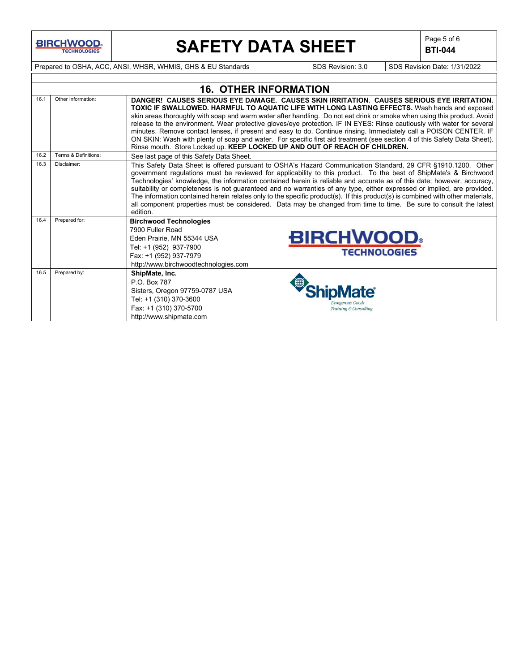**BIRCHWOOD** 

# **SAFETY DATA SHEET**  $\left|\begin{array}{c} \text{Page 5 of 6} \\ \text{BIT-044} \end{array}\right|$

**BTI-044**

Prepared to OSHA, ACC, ANSI, WHSR, WHMIS, GHS & EU Standards Superinted SDS Revision: 3.0 SDS Revision Date: 1/31/2022

|      | <b>16. OTHER INFORMATION</b> |                                                                                                                                                                                                                                                                                                                                                                                                                                                                                                                                                                                                                                                                                                                                                                                       |                                                                                                                                                                                                                                                                                                                                                                                                                                                                                                                                                                                                                                                                                                                                              |  |  |  |
|------|------------------------------|---------------------------------------------------------------------------------------------------------------------------------------------------------------------------------------------------------------------------------------------------------------------------------------------------------------------------------------------------------------------------------------------------------------------------------------------------------------------------------------------------------------------------------------------------------------------------------------------------------------------------------------------------------------------------------------------------------------------------------------------------------------------------------------|----------------------------------------------------------------------------------------------------------------------------------------------------------------------------------------------------------------------------------------------------------------------------------------------------------------------------------------------------------------------------------------------------------------------------------------------------------------------------------------------------------------------------------------------------------------------------------------------------------------------------------------------------------------------------------------------------------------------------------------------|--|--|--|
| 16.1 | Other Information:           | DANGER! CAUSES SERIOUS EYE DAMAGE. CAUSES SKIN IRRITATION. CAUSES SERIOUS EYE IRRITATION.<br><b>TOXIC IF SWALLOWED. HARMFUL TO AQUATIC LIFE WITH LONG LASTING EFFECTS.</b> Wash hands and exposed<br>skin areas thoroughly with soap and warm water after handling. Do not eat drink or smoke when using this product. Avoid<br>release to the environment. Wear protective gloves/eye protection. IF IN EYES: Rinse cautiously with water for several<br>minutes. Remove contact lenses, if present and easy to do. Continue rinsing. Immediately call a POISON CENTER. IF<br>ON SKIN: Wash with plenty of soap and water. For specific first aid treatment (see section 4 of this Safety Data Sheet).<br>Rinse mouth. Store Locked up. KEEP LOCKED UP AND OUT OF REACH OF CHILDREN. |                                                                                                                                                                                                                                                                                                                                                                                                                                                                                                                                                                                                                                                                                                                                              |  |  |  |
| 16.2 | Terms & Definitions:         | See last page of this Safety Data Sheet.                                                                                                                                                                                                                                                                                                                                                                                                                                                                                                                                                                                                                                                                                                                                              |                                                                                                                                                                                                                                                                                                                                                                                                                                                                                                                                                                                                                                                                                                                                              |  |  |  |
| 16.3 | Disclaimer:                  | edition.                                                                                                                                                                                                                                                                                                                                                                                                                                                                                                                                                                                                                                                                                                                                                                              | This Safety Data Sheet is offered pursuant to OSHA's Hazard Communication Standard, 29 CFR §1910.1200. Other<br>government regulations must be reviewed for applicability to this product. To the best of ShipMate's & Birchwood<br>Technologies' knowledge, the information contained herein is reliable and accurate as of this date; however, accuracy,<br>suitability or completeness is not guaranteed and no warranties of any type, either expressed or implied, are provided.<br>The information contained herein relates only to the specific product(s). If this product(s) is combined with other materials,<br>all component properties must be considered. Data may be changed from time to time. Be sure to consult the latest |  |  |  |
| 16.4 | Prepared for:                | <b>Birchwood Technologies</b><br>7900 Fuller Road<br>Eden Prairie. MN 55344 USA<br>Tel: +1 (952) 937-7900<br>Fax: +1 (952) 937-7979<br>http://www.birchwoodtechnologies.com                                                                                                                                                                                                                                                                                                                                                                                                                                                                                                                                                                                                           | <b>BIRCHWOOD</b><br><b>TECHNOLOGIES</b>                                                                                                                                                                                                                                                                                                                                                                                                                                                                                                                                                                                                                                                                                                      |  |  |  |
| 16.5 | Prepared by:                 | ShipMate, Inc.<br>P.O. Box 787<br>Sisters, Oregon 97759-0787 USA<br>Tel: +1 (310) 370-3600<br>Fax: +1 (310) 370-5700<br>http://www.shipmate.com                                                                                                                                                                                                                                                                                                                                                                                                                                                                                                                                                                                                                                       | Training & Consulting                                                                                                                                                                                                                                                                                                                                                                                                                                                                                                                                                                                                                                                                                                                        |  |  |  |